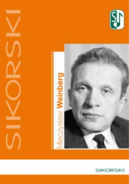





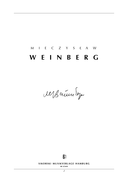# m i e c z y s l**/** a w **w e i n b e r g**

MBains Sep



**SIKORSKI MUSIKVERLAGE HAMBURG** 

**sik 4/5649**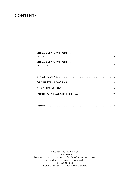### **contents**

## **Mieczysl/ aw weinberg** i n e n g l i s h . . . . . . . . . . . . . . . . . . . . . . . . . . . . . . . . . *4* **Mieczysl/ aw weinberg** i n g e r m a n . . . . . . . . . . . . . . . . . . . . . . . . . . . . . . . . . *5* **stage works** . . . . . . . . . . . . . . . . . . . . . . . . . . . . . . . *6* **orchestral works** . . . . . . . . . . . . . . . . . . . . . . . . . *8* **chamber music** . . . . . . . . . . . . . . . . . . . . . . . . . . . . *12* **incidental music to films** . . . . . . . . . . . . . . . . . . *17*

sikorski Musikverlage 20139 hamburg phone: (+ 49) (0)40 / 41 41 00-0 · fax: (+ 49) (0)40 / 41 41 00-41 www.sikorski.de · contact@sikorski.de **1 9 m a r c h 2 0 2 1** cover photo © olga rakhalskaya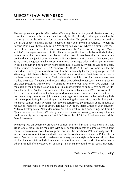### **mieczysl/ aw weinberg**

8 December 1919, Warsaw, – 26 February 1996, Moscow

The composer and pianist Mieczysław Weinberg, the son of a lewish theatre musician, came into contact with musical practice early in life; already at the age of twelve, he studied piano at the Warsaw Conservatory with Józef Turcyński. He seemed assured of a brilliant concert pianist's career – having already been invited to America – when the Second World War broke out. In 1939 Weinberg fled Warsaw, where his family was murdered shortly afterwards. He studied composition at the Minsk Conservatory with Vassili Zolotarëv, but again was forced to flee Hitler's troops, this time to Tashkent (Uzbekistan), where he worked as a rehearsal pianist at the opera. It was here that he became acquainted with the Jewish actor and theatre director Solomon Michailovich Michoéls (1890- 1948), whose daughter Natalia Vovsi he married. Weinberg's talent did not go unnoticed in Tashkent; Dmitri Shostakovich heard about him in Moscow; when he was sent a copy of the younger composer's First Symphony, Op. 10 (1942), he was so impressed that he immediately arranged a relocation permit in the capital city for the young couple so that Weinberg might have a better future. Shostakovich considered Weinberg to be one of the best composers and pianists. Their relationship, which lasted for over 30 years, was marked by mutual friendship and respect. They showed each other each new composition and often presented these works – in versions for piano four-hands or on two pianos – for the circle of their colleagues or in public. Like most creators of culture, Weinberg felt Stalinist terror after 1948 (he was imprisoned for three months in early 1953), but was able to live relatively unhindered in the background as a freelance composer. Since he refused to become a party member and join the campaign against 'formalism' he had relatively little official support during the period up to and including the 1960s. He earned his living with incidental compositions. When his works were performed, it was usually at the initiative of renowned interpreters such as Emil Gilels, David Oistrach, Maria Grinberg, Leonid Kogan, Mstislav Rostropovich, Alexander Gauk, Kirill Kondrashin, Kurt Sanderling, the Borodin Quartet and others. Today, Weinberg's extensive oeuvre is enjoying increasing international popularity. Weinberg was a People's Artist of the USSR (1980) and was awarded the State Prize (1990).

Weinberg was an extremely productive composer. From film and circus music to tragic grand opera, from simple melodies with easy accompaniments to complex twelve-tone music, he was a master of all forms, genres and stylistic directions. With virtuosity and elegance, but always judiciously and with balance, he used elements of Jewish, Polish, Russian and Moldavian folk music. He developed a very personal style with a clear, almost classical architecture. His melodic language – at times introverted and meditative-reflective, at other times full of effervescent joy of living – is particularly noted for its special richness.

*Ulrike Patow in MGG, Vol.* 17*, p.* 688*ff.*

Further works of Weinberg are published by Peer Musikverlag, Hamburg.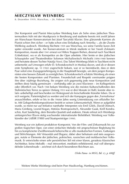### **mieczysl/ aw weinberg**

8. Dezember 1919, Warschau, – 26. Februar 1996, Moskau

Der Komponist und Pianist Mieczysław Weinberg kam als Sohn eines jüdischen Theatermusikers früh mit der Musikpraxis in Berührung und studierte bereits mit zwölf Jahren am Warschauer Konservatorium bei Józef Turcyński Klavier. Eine glänzende Karriere als Pianist schien ihm sicher – er hatte schon eine Einladung nach Amerika –, als der Zweite Weltkrieg ausbrach. Weinberg flüchtete 1939 aus Warschau, wo seine Familie kurze Zeit später ermordet wurde. Am Konservatorium in Minsk studierte er bei Vassili Zolotarëv Komposition, musste aber 1941 erneut vor Hitlers Truppen fliehen, diesmal nach Taschkent (Usbekistan), wo er als Korrepetitor an der Oper arbeitete. Hier lernte er den jüdischen Schauspieler und Theaterdirektor Solomon Michailowitsch Michoéls (1890-1948) kennen und heiratete dessen Tochter Natalja Vovsi. Das Talent Weinbergs blieb in Taschkent nicht unbemerkt; auf Umwegen erfuhr D. Schostakowitsch in Moskau davon, und als er dessen erste Symphonie op. 10 (1942) zugeschickt bekam, war er so beeindruckt, dass er dem Paar sofort eine Zuzugsgenehmigung in die Hauptstadt besorgte, um dem jungen Komponisten eine bessere Zukunft zu ermöglichen. Schostakowitsch schätzte Weinberg als einen der besten Komponisten und Pianisten. Freundschaft und Respekt voreinander prägten ihre über 30jährige Beziehung. Sie zeigten sich gegenseitig jede neue Komposition und stellten diese häufig gemeinsam – vierhändig oder an zwei Klavieren – im Kollegenkreis oder öffentlich vor. Nach 1948 bekam Weinberg wie die meisten Kulturschaffenden den Stalinistischen Terror zu spüren (Anfang 1953 war er drei Monate in Haft), konnte aber relativ unbehelligt und bescheiden im Hintergrund als freischaffender Künstler leben. Da er sich weigerte, Parteimitglied zu werden und sich der Kampagne gegen den ,Formalismus' anzuschließen, erfuhr er bis in die 1960er Jahre wenig Unterstützung von offizieller Seite. Mit Gelegenheitskompositionen bestritt er seinen Lebensunterhalt. Wenn er aufgeführt wurde, so meist nur auf Initiative namhafter Interpreten wie Emil Gilels, David Oistrach, Maria Grinberg, Leonid Kogan, Mstislav Rostropowitsch, Alexander Gauk, Kirill Kondraschin, Kurt Sanderling, dem Borodin-Quartett und anderen. Heute erfreut sich Weinbergs umfangreiches Œuvre stetig wachsender internationaler Beliebtheit. Weinberg war Volkskünstler der UdSSR (1980) und Staatspreisträger (1990).

Weinberg war ein äußerst produktiver Komponist. Von der Film- und Zirkusmusik bis zur großen tragischen Oper, von einer einfachen Melodie mit anspruchsloser Begleitung bis hin zu komplizierter Zwölftonmusik beherrschte er alle musikalischen Formen, Gattungen und Stilrichtungen. Mit Virtuosität und Eleganz, dabei aber behutsam und stets ausgewogen, nutzte er Elemente der jüdischen, polnischen, russischen und moldawischen Volksmusik. Er entwickelte einen sehr persönlichen Stil mit einer klaren, geradezu klassischen Architektur. Seine Melodik – mal introvertiert, meditativ-reflektierend, mal voll übersprudelnder Lebensfreude – zeichnet sich durch besonderen Reichtum aus.

*Ulrike Patow in MGG, Bd.* 17*, p.* 688*ff.*

Weitere Werke Weinbergs sind beim Peer Musikverlag, Hamburg erschienen.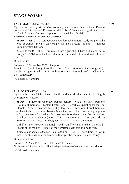### **stage works**

### **lady magnesia**, Op. 112 **1975**

Opera in one act by Mieczysław Weinberg after Bernard Shaw's farce 'Passion, Poison and Petrification' (Russian translation by V. Stanevich, English adaptation by David Fanning, German adaptation by Hans-Ulrich Duffek) *Dedicated To Rodion Konstantinovich Shchedrin*

**DRAMATIS PERSONAE:** Lord George Fitztollemache (tenor) – Lady Magnesia, his wife (soprano) – Phyllis, Lady Magnesia's maid (mezzo soprano) – Adolphus Bastable, valet (baritone)

2.0.2.alto sax.0 – 1.0.1.0 – drum set. 3 tom-t. guit/el.guit. bass guit. piano. harm. strings (1/1/1/1/1 or full set) – children's choir, female choir and male choir on tape (CD)

Duration: 50'

Première: 18 November 2009, Liverpool

Tom Raskin (Lord George Fitztollemache) – Emma Morwood (Lady Magnesia) – Carolina Krogius (Phyllis) – Phil Smith (Adolphus) – Ensemble 10/10 – Clark Rundell (conductor)

© Sikorski, Hamburg

### **the portrait**, Op. 128 **1980 1980**

Opera in three acts (eight tableaux) by Alexander Medvedev after Nikolai Gogol's short story (in Russian)

**DRAMATIS PERSONAE:** Chartkov, painter (tenor) – Nikita, his valet (baritone) – Journalist (baritone) – Lantern lighter (tenor) – Chartkov's painting teacher (baritone) – Owner of an artist store / Dignitary (bass) – Landlord / Count (baritone) – District chief / General (bass) – Market woman / Lady-in-waiting (soprano) – First merchant / First waiter / Turk (tenor) – Second merchant / Second waiter / Cavalryman of the Guards (tenor) – Third merchant (bass) – Distinguished lady (mezzo soprano) – Lisa, her daughter (soprano) – Nobleman (tenor)

Girl [from the "Psyche" painting] – Old man [from Petromikhali's portrait] – People at the market – Visitors at the vernissage (dancers and mute roles)

 $2(pice)$ .  $2(cor$  anglais).  $2(A \text{ clar}, B \text{ clar})$ .  $2(db \text{ bn}) - 3.2.1.0 - \text{perc}$  (timp, tgl, whip, rachet, tamb, bass dr, cym, tam-t, bells, glsp, vibr). harp. cel. piano. strings

Duration: full eve

Première: 20 May 1983, Brno, State Janáček Theatre

G. Ansimov (director) – Boris Blank (stage designer) – Vaclav Nosek (conductor)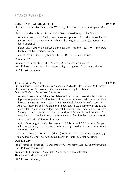### **stage works**

### **congratulations!**, Op. 111 **1975**-**1982**

Opera in two acts by Mieczysław Weinberg after Sholem Aleichem's play 'Mazl  $t$ ov

(Russian translation by M. Shambadal – German version by Ulrike Patow)

**DRAMATIS PERSONAE:** Beyla, cook (mezzo soprano) – Reb Alter, book lender (tenor) – Fradl, maid (soprano) – Khaim, the neighbour's valet (baritone) – Madame (soprano)

2(picc, alto fl).1(cor anglais).2(*A* clar, bass clar).1(db bn) – 3.1.1.0 – timp. perc (tamb, cym). harp. piano. strings

reduced version by Henry Koch: 1.1.1.1 – 0.1.0.0 – piano. strings

Duration: 75'

Première: 13 September 1983, Moscow, Moscow Chamber Opera Boris Pokrovsky (director) – N. Chigarev (stage designer) – A. Levin (conductor)

© Sikorski, Hamburg

### **the idiot**, Op. 144 **1986**-**1987**

Opera in four acts (ten tableaux) by Alexander Medvedev after Fyodor Dostoevsky's like-named novel (in Russian, German version by Brigitte Schrade) *Dedicated To Dmitri Dmitrievich Shostakovich*

**DRAMATIS PERSONAE: Prince Leo Nikolaevich Myshkin (tenor) – Nastasya Fi**lippovna (soprano) – Parfion Rogozhin (bass) – Lebedev (baritone) – Ivan Fyodorovich Epanchin, general (bass) – Elisaveta Prokofievna, his wife (contralto) – Aglaya, Alexandra and Adelaida, their daughters (mezzo soprano, soprano and mute role) – Ardalionich Ivolgin (Ganya), Epanchin's secretary (tenor) – Varvara (Varya), his sister (soprano) – Ganya's and Varya's parents (mute roles) – Afanassy Ivanovich Totsky, formerly Nastasya's lover (baritone) – Tochilnik (tenor)

Citizens of Rostov (3 tenors, 3 basses)

3(picc).3(cor anglais).4(*Eb* clar, bass clar).3.(db bn) – 4.3.3.1 – timp. 3-4 perc (tgl, tamb, side dr, bass dr, tam-t, bells, glsp, xyl, marimba). harp. cel strings – piano (on stage)

**REDUCED VERSION:** 1(picc).2.1(*Eb* clar).1(db bn) – 2.1.1.0 – timp. 2-3 perc (tgl, tamb, bass dr, tam-t, bells, glsp, xyl, marimba). harp. cel. piano. strings

Duration: 210'

Première (reduced version): 19 December 1991, Moscow, Moscow Chamber Opera Boris Pokrovsky (director)

Première (full version): 9 May 2013, Mannheim, Nationaltheater Thomas Sanderling (conductor)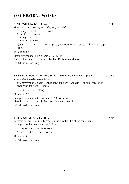#### **sinfonietta no. 1**, Op. 41 **1948**

*Dedicated to the Friendship of the Peoples of the USSR*

- *1*. Allegro risoluto  $\mathcal{L} = 108-112$
- 2. Lento  $({}_{\bullet} = 88-96)$
- *3*. Allegretto  $\vec{a} = 112 116$
- *4*. Vivace  $(a = 80-84)$

 $3(pice).2.2.2 - 4.3.3.1 - timp.$  perc (tambourine, side dr, bass dr, cym). harp. strings

#### Duration: 20'

First performance: 13 November 1948, Kiev Kiev Philharmonic Orchestra – Nathan Rakhlin (conductor)

© Sikorski, Hamburg

#### **fantasia for violoncello and orchestra**, Op. 52 **1951**-**1953**

*Dedicated to Yuri Abramovich Livitin*

one movement: Adagio – Andantino leggiero – Adagio – Allegro con fuoco – Andantino leggiero – Adagio

 $1.0.0.0 - 3.1.0.0 -$  strings

Duration: 20'

First performance: 23 November 1953, Moscow Daniil Shafran (violoncello) – Nina Musinian (piano)

© Sikorski, Hamburg

### **THE CRANES are FLYing 1957**

Fantasia for piano and orchestra on music to the film of the same name. Arrangement by Paul Haletzki (1966)

one movement: Moderato assai

 $2.2.2.2 - 4.3.3.0 -$  timp. strings

Duration: 5'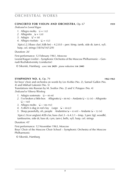### **concerto for violin and orchestra**, Op. 67 **1959**

*Dedicated to Leonid Kogan*

- *1.* Allegro molto  $\begin{bmatrix} a \\ = 132 \end{bmatrix}$
- 2. Allegretto  $\left( = 120 \right)$
- 3. Adagio  $\left(\right) = 58$ )
- 4. Allegro risoluto  $\left( \bullet \right)$  = 152)

 $3(picc).2.3(bass clar).3(db bn) - 4.2.0.0 - perc (timp, tamb, side dr, tam-t, xyl).$ harp. cel. strings (18/16/14/12/9)

#### Duration: 26'

First performance: 12 February 1961, Moscow Leonid Kagan (violin) – Symphonic Orchestra of the Moscow Philharmonic – Gennadi Rozhdestvensky (conductor)

© Sikorski, Hamburg · *score:* **s i k 2429** · *piano reduction:* **s i k 2443**

### **symphony no. 6**, Op. 79 **1962**-**1963**

for boys' choir and orchestra on words by Lev Kvitko (No. 2), Samuil Galkin (No. 4) and Mikhail Lukonin (No. 5) Translations into Russian by M. Svetlov (No. 2) and V. Potapov (No. 4)

*Dedicated to Viktoria Weinberg*

- *1*. Adagio sostenuto  $\left( \right) \sim 40-44$ )
- *2*. I've broken a little box *Allegretto* (q ~ 88-96) *Andante* (q ~ 52-54) *Allegretto*  $(a \sim 160)$
- 3. Allegro molto  $\left( \right)$  ~ 184-192)
- 4. A ditch is dug in red clay *Largo*  $(a \sim 60.63)$
- *5.* Sleep peasefully, oh, people *Andantino* ( $\sqrt{6}$  ~ 63-69) Andante ( $\sqrt{6}$  ~ 52-54)

3(picc).3(cor anglais).4(*Eb* clar, bass clar).3 – 6.4.3.1 – timp. 3 perc (tgl, woodbl, tambourine, side dr, bass dr, cym, tam-t, bells, xyl). harp. cel. strings

Duration: 45'

First performance: 12 November 1963, Moscow Boys' Choir of the Moscow Choir School – Symphonic Orchestra of the Moscow Philharmonic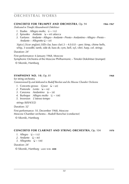#### **concerto for trumpet and orchestra**, Op. 94 **1966** -**1967**

*Dedicated to Timofei Alexandrovich Dokshitser*

- *1.* Etudes *Allegro molto*  $(a \sim 152)$
- *2*. Episodes *Andante* (q ~ 69) *attacca*
- *3*. Fanfares *Andante Allegro Andante Presto Andantino Allegro Presto – Andante – Allegretto* ( $\bullet \sim 69$ )

3(picc).3(cor anglais).3(*Eb* clar, bass clar).3 – 4.0.0.0 – perc (timp, chime bells, whip, 3 woodbl, tamb, side dr, bass dr, cym, bell, xyl, vibr). harp. cel. strings

#### Duration: 24'

First performance: 6 January 1968, Moscow Symphonic Orchestra of the Moscow Philharmonic – Timofei Dokshitser (trumpet)

© Sikorski, Hamburg

#### **SYMPHONY NO. 10**, Op. 81 **1968**

for string orchestra *Commissioned by and dedicated to Rudolf Barshai and the Moscow Chamber Orchestra*

- *1.* Concerto grosso *Grave*  $(2 \sim 69)$
- 2. Pastorale *Lento*  $(2 \sim 44)$
- *3*. Canzona *Andantino* (q ~ 58)
- 4. Burleque *Allegro molto* (d. ~ 108)
- *5*. Inversion *L'istesso tempo*

strings (8/0/4/3/2)

Duration: 32'

First performance: 10. December 1968, Moscow Moscow Chamber orchestra – Rudolf Barschai (conductor)

© Sikorski, Hamburg

#### **concerto for clarinet and string orchestra**, Op. 104 **1970**

- *1*. Allegro  $\left( \right) \sim 132$
- 2. Andante  $\left( \bullet \right \approx 80)$
- 3. Allegretto  $\left( \right)$  ~ 108)

### Duration: 24'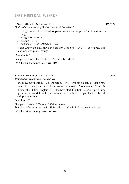### **symphony no. 12**, Op. 114 **1975**-**1976**

*Dedicated to the memory of Dmitri Dmitrievich Shostakovich*

- 1. Allegro moderato ( $\sim$  80) Doppio movimento Doppio più lento a tempo Largo
- 2. Allegretto  $\left($ **,**  $\sim$  76)
- 3. Adagio  $\left(\frac{1}{2} \times 54\right)$
- *4*. Allegro ( $\sqrt{2}$  ~ 168) Adagio ( $\sqrt{2}$  ~ 63)

3(picc).3(cor anglais).4(*Eb* clar, bass clar).3(db bn) – 4.4.3.1 – perc (timp, cym, marimba). harp. cel. strings

Duration: 60'

First performance: 13 October 1979, radio broadcast

© Sikorski, Hamburg · *score:* **s i k 2438**

### **SYMPHONY NO. 14**, Op. 117 **1977**

*Dedicated to Vladimir Ivanovich Fedoseev*

one movement: Laro ( $\sim 60$ ) – Allegro ( $\sim 144$ ) – Doppio più lento – Meno mosso ( $\rightarrow \sim 69$ ) – Adagio ( $\rightarrow \sim 63$ ) – Pocchissimo più mosso – Moderato ( $\rightarrow \sim 92 \cdot \rightarrow \sim 88$ ) 4(picc, alto fl).3(cor anglais).4(*Eb* clar, bass clar).3(db bn) – 6.4.4.0 – perc (timp, tgl, whip, 2 woodbl, rattle, tambourine, side dr, bass dr, cym, tamt, bells, xyl). cel. piano. strings

Duration: 20'

First performance: 8 October 1980, Moscow

Symphony Orchestra of the USSR Broadcast – Vladimir Fedoseev (conductor)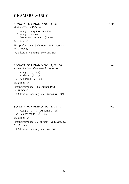#### **sonata for piano no. 3**, Op. 31 **1946**

*Dedicated To Lev Abeliovich*

- *1*. Allegro tranquillo  $\left( \right) \sim 126$
- 2. Adagio  $\left(\sqrt{260}\right)$
- 3. Moderato con moto  $(e^{\theta} \sim 60)$

Duration: 20'

First performance: 5 October 1946, Moscow M. Grinberg

© Sikorski, Hamburg · *score:* **s i k 2421**

#### **sonata for piano no. 5**, Op. 58 **1956**

*Dedicated to Boris Alexandrovich Chaikovsky*

- *1*. Allegro  $(a. \sim 108)$
- 2. Andante  $\left( \bullet \sim 66 \right)$
- 3. Allegretto  $\left( \bullet \sim 152 \right)$

Duration: 15'

First performance: 9 November 1958 L. Brumberg

© Sikorski, Hamburg · *score:* **s i k o r s k i 2422**

### **sonata for piano no. 6**, Op. 73 **1960**

*1*. Adagio ( $\sqrt{\sim}$  42 – Andante  $\sqrt{\sim}$  60)

2. Allegro molto  $\left(1 - 120\right)$ 

Duration: 12'

First performance: 26 February 1964, Moscow M. Mdivani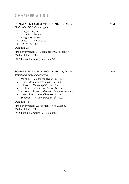### **sonata for solo violin no. 1**, Op. 82 **1964**

*Dedicated to Mikhail Fikhtengolts*

- 1. Adagio  $\left(\frac{1}{2} \times 60\right)$
- 2. Andante  $\left( \right) \sim 50$
- 3. Allegretto  $(a. \sim 63)$
- *4*. Lento (q ~ 69) *attacca*
- *5*. Presto  $(a \sim 176)$

#### Duration: 24'

First performance: 31 December 1965, Moscow Mikhail Fikhtengolts

© Sikorski, Hamburg · *score:* **s i k 2432**

### **sonata for solo violin no. 2**, Op. 95 **1967**

*Dedicated to Mikhail Fikhtengoltz*

- *1*. Monody *Allegro moderato* ( $\sqrt{2}$  184)
- 2. Rests *Andantino grazioso*  $(2 \times 80)$
- *3*. Intervals *Presto agitato*  $(a 96)$
- *4.* Replies *Andante non tanto* ( $\bullet$  ~ 50)
- *5*. Accompaniment *Allegretto leggiero* ( $\sqrt{2}$  ~ 108)
- 6. Invocation *Lento affetuoso*  $(2 \times 84)$
- *7.* Syncopes *Vivace marcato*  $(2 \sim 192)$

Duration: 15'

First performance: 22 February 1970, Moscow Mikhail Fikhtengolts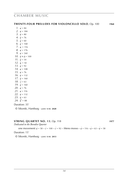| TWENTY-FOUR PRELUDES FOR VIOLONCELLO SOLO, Op. 100 | 1968 |
|----------------------------------------------------|------|
| 1. $\sqrt{84}$                                     |      |
| 2. $\bullet \sim 184$                              |      |
| 3. $\bullet \sim 80$                               |      |
| 4. $\bullet$ ~ 76                                  |      |
| 5. $\bullet \sim 60$                               |      |
| 6. $\bullet$ ~ 168                                 |      |
| 7. $\bullet$ ~ 116                                 |      |
| 8. $\bullet \sim 176$                              |      |
| 9. $\bullet \sim 160$                              |      |
| 10. $\bullet + \bullet$ ~ 100                      |      |
| 11. $\bullet$ ~ 54                                 |      |
| 12. $\bullet$ ~ 42                                 |      |
| 13. $\sqrt{92}$                                    |      |
| 14. $\bullet$ ~ 108                                |      |
| 15. $\bullet$ ~ 76<br>16. $\bullet$ ~ 132          |      |
| 17. $\bullet$ ~ 160                                |      |
| 18. $\sigma \sim 63$                               |      |
| 19. $\bullet$ ~ 160                                |      |
| 20. $\bullet$ ~ 76                                 |      |
| 21. $\bullet$ ~ 116                                |      |
| 22. $\bullet$ ~ 132                                |      |
| 23. $\bullet \sim 63$                              |      |
|                                                    |      |

*24.*  $\bullet^{\!\top} \sim 88$ 

Duration: 35'

### **string quartet no. 13**, Op. 118 **1977**

*Dedicated to the Borodin Quartet*

one movement:  $\sqrt{2}$   $\sim$  58 –  $\sqrt{2}$   $\sim$  100 –  $\sqrt{2}$   $\sim$  92 – Meno mosso –  $\sqrt{2}$   $\sim$  116 –  $\sqrt{2}$   $\sim$  63 –  $\sqrt{2}$   $\sim$  58

Duration: 15'

<sup>©</sup> Sikorski, Hamburg · *score:* **s i k 2420**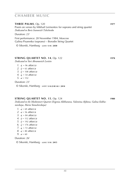**three palms**, Op. 120 **1977** Poem on verses by Mikhail Lermontov for soprano and string quartet *Dedicated to Boris Ivanovich Tishchenko* Duration: 23'

First performance: 28 November 1984, Moscow Galina Pisarenko (soprano) – Borodin String Quartet

© Sikorski, Hamburg · *score:* **s i k 2430**

### **STRING QUARTET NO. 14**, Op. 122 **1978**

*Dedicated to Yuri Abramovich Levitin*

- *1*. q. ~ 96 *attacca*
- *2*. q ~ 63 *attacca*
- *3*. q ~ 108 *attacca*
- *4*. q. ~ 54 *attacca*
- $5. \, \, \text{m} \sim 152$

Duration: 23'

© Sikorski, Hamburg · *score:* **s i k o r s k i 2414**

### **string quartet no. 15**, Op. 124 **1980**

*Dedicated to the Moskontsert Quartet (Evgenia Alikhanova, Valentina Alykova, Galina Kokhanovskaya, Maria Yanushevskaya)*

- *1*. q ~ 69 *attacca*
- *2*. q ~ 56 *attacca*
- *3*. q. ~ 84 *attacca*
- *4*. q ~ 112 *attacca*
- *5*. q ~ 192 *attacca*
- *6*. q ~ 176 *attacca*
- *7*. q. ~ 72 *attacca*
- *8*. q ~ 80 *attacca*
- $9. \, \, \frac{1}{2} \sim 60$

Duration: 26'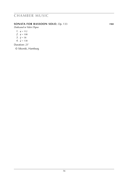### **sonata for bassoon solo**, Op. 133 **1981**

*Dedicated to Valeri Popov*

- *1*.  $\sqrt{2}$  ~ 112
- 2.  $\sqrt{2}$  ~ 108
- 3.  $\sqrt{258}$
- 4.  $\sqrt{2}$  ~ 138

Duration: 21'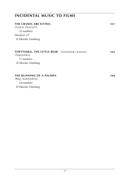## **incidental music to films**

### **THE CRANES are FLYing 1957**

[Letyat zhuravli] 33 numbers Duration: 27' © Sikorski, Hamburg

| <b>TOPTYSHKA, THE LITTLE BEAR</b> (animated cartoon)<br>[Toptyshka] | 1963 |
|---------------------------------------------------------------------|------|
| 11 numbers                                                          |      |
| © Sikorski, Hamburg                                                 |      |
|                                                                     |      |

### **the running of a palfrey 1968**

[Beg inokhodtsa] 24 numbers © Sikorski, Hamburg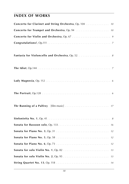## **index of works**

| Concerto for Clarinet and String Orchestra, Op. 104  10 |  |
|---------------------------------------------------------|--|
|                                                         |  |
|                                                         |  |
|                                                         |  |
| Fantasia for Violoncello and Orchestra, Op. 52.  8      |  |
|                                                         |  |
|                                                         |  |
|                                                         |  |
|                                                         |  |
|                                                         |  |
|                                                         |  |
|                                                         |  |
|                                                         |  |
|                                                         |  |
|                                                         |  |
|                                                         |  |
|                                                         |  |